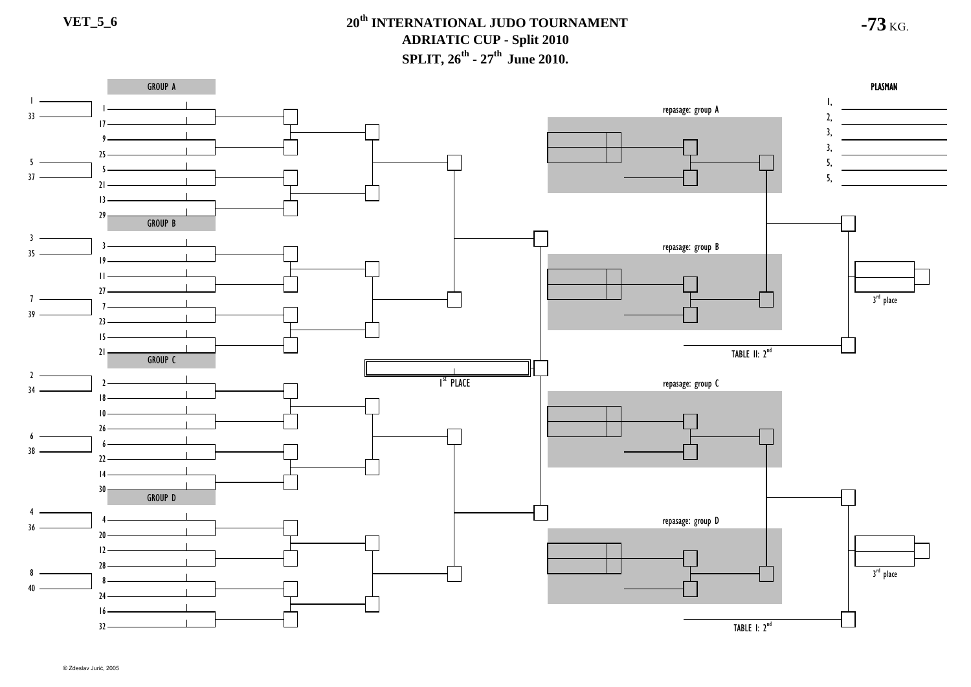**-73** KG.

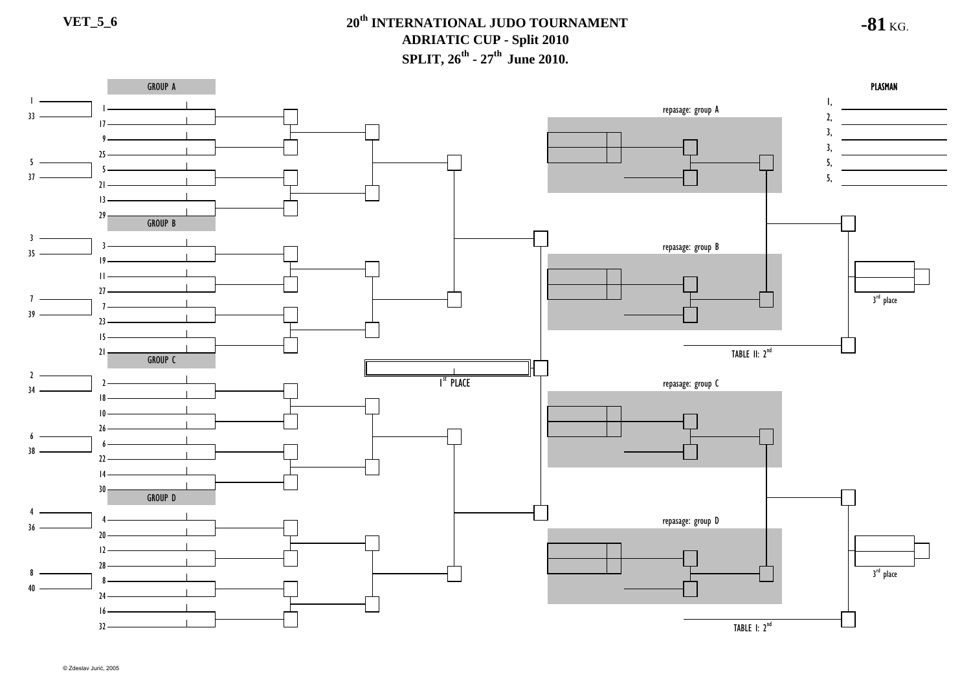**-81** KG.

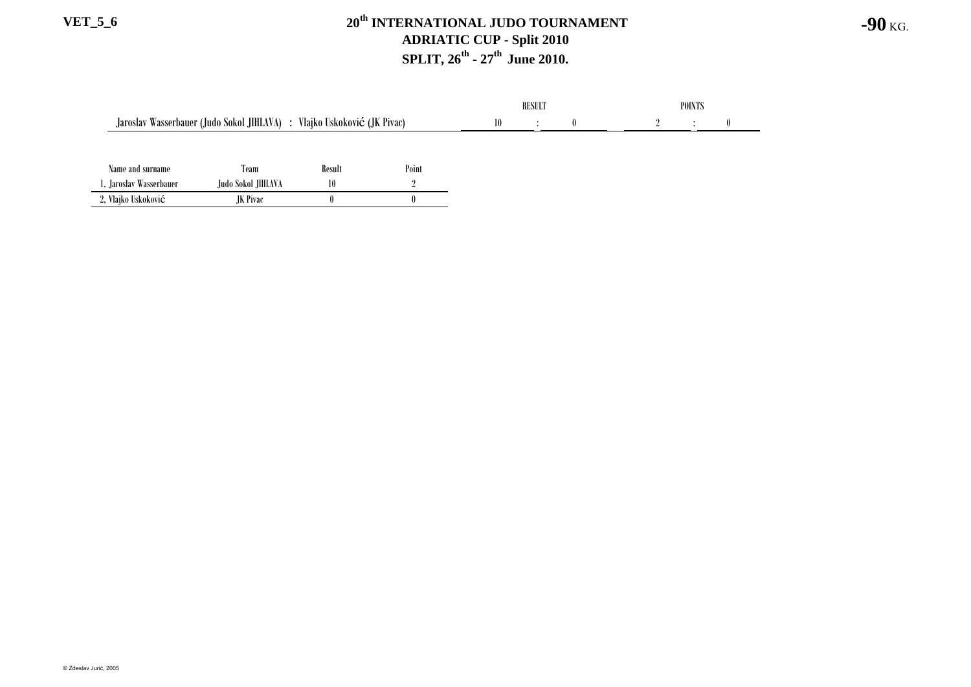#### **VET\_5\_6 20th INTERNATIONAL JUDO TOURNAMENT ADRIATIC CUP - Split 2010 SPLIT, 26th - 27th June 2010.**

|                                                                         |                    |        |       | <b>RESULT</b> |  |  | <b>POINTS</b> |          |  |  |
|-------------------------------------------------------------------------|--------------------|--------|-------|---------------|--|--|---------------|----------|--|--|
| Jaroslav Wasserbauer (Judo Sokol JIHLAVA) : Vlajko Uskoković (JK Pivac) |                    |        |       |               |  |  |               | $\theta$ |  |  |
|                                                                         |                    |        |       |               |  |  |               |          |  |  |
| Name and surname                                                        | Team               | Result | Point |               |  |  |               |          |  |  |
| l, Jaroslav Wasserbauer                                                 | Judo Sokol JIHLAVA | 10     |       |               |  |  |               |          |  |  |
| 2, Vlajko Uskoković                                                     | JK Pivac           |        |       |               |  |  |               |          |  |  |

**-90** KG.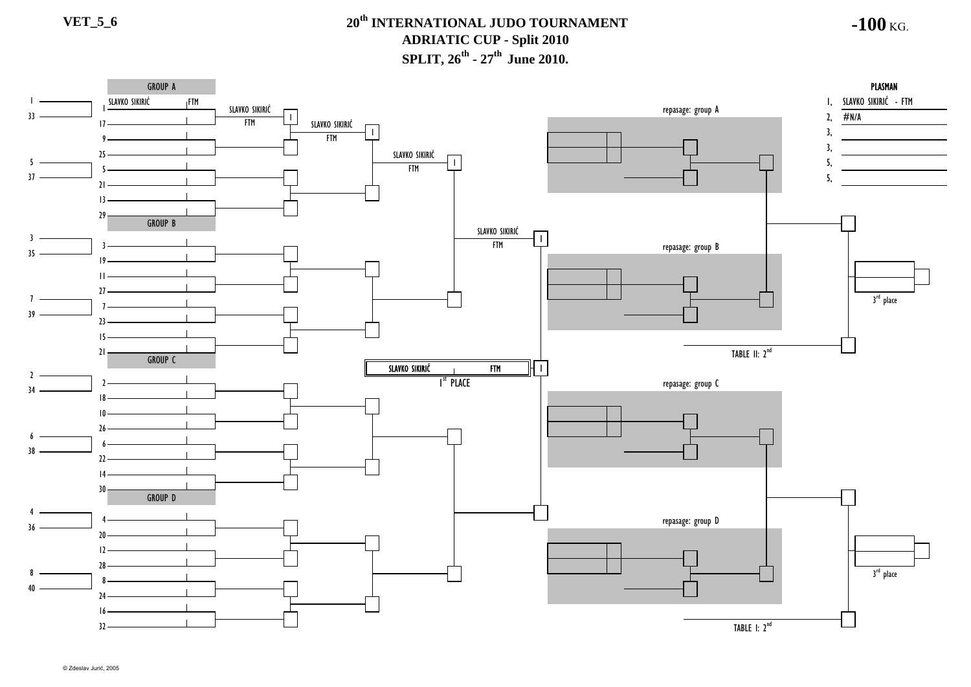**-100** KG.

#### GROUP A PLASMAN SLAVKO SIKIRIĆ SLAVKO SIKIRIĆ - FTM FTM  $r$ epasage: group A  $\overline{2}$ SLAVKO SIKIRIĆ 33 $#N/A$  $\overline{F}$ TM  $\overline{F}$  $\zeta$  , and the contract of the contract of the contract of the contract of  $\zeta$ , and  $\zeta$ , SLAVKO SIKIRIĆ $17 -$ 3, 19FTM 3, SLAVKO SIKIRIĆ 255 $\mathbf{I}$ 5, **FTM** 537 5,  $21 -$ 1329 GROUP B SLAVKO SIKIRIĆ 3FTMrepasage: group B 35  $10 -$ 11 $27$ 3<sup>rd</sup> place 7739 $\overline{2}$ 15TABLE II: 2<sup>nd</sup> 21 GROUP CSLAVKO SIKIRIĆ FTM 1 $\mathcal{L}$ repasage: group C I<sup>st</sup> Place າ 341810266638  $\mathcal{V}$ 1430GROUP D 4repasage: group D 436  $20<sub>2</sub>$ 12283<sup>rd</sup> place 884024 16TABLE I: 2<sup>nd</sup> 32

© Zdeslav Jurić, 2005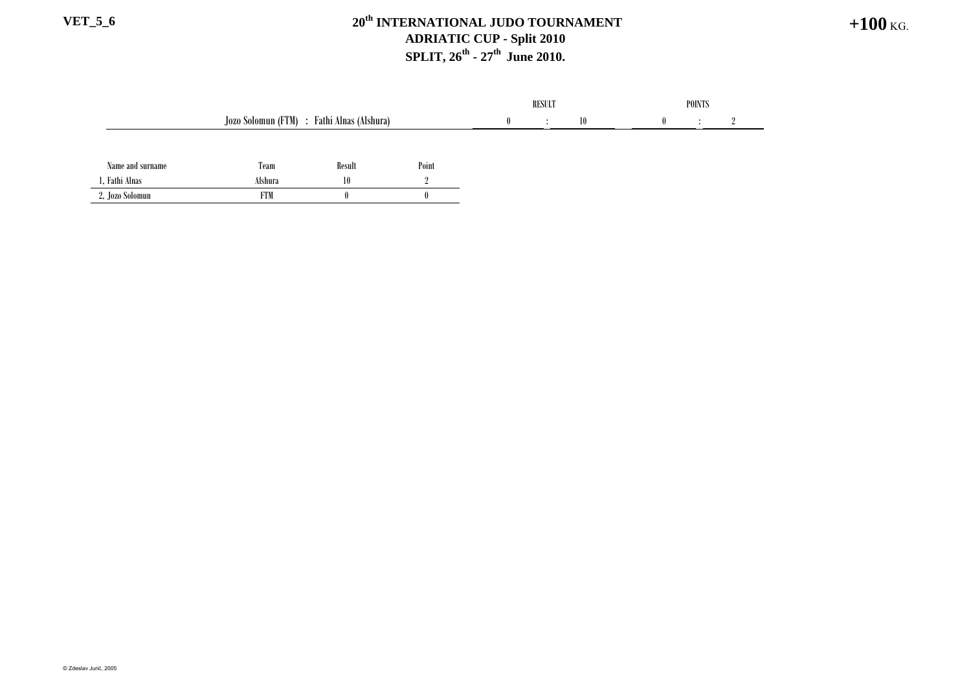#### **VET\_5\_6 20th INTERNATIONAL JUDO TOURNAMENT ADRIATIC CUP - Split 2010 SPLIT, 26<sup>th</sup> - 27<sup>th</sup> June 2010.**

|                  |                                            |        |       | <b>RESULT</b> |  |    | <b>POINTS</b> |  |  |  |
|------------------|--------------------------------------------|--------|-------|---------------|--|----|---------------|--|--|--|
|                  | Jozo Solomun (FTM) : Fathi Alnas (Alshura) |        |       |               |  | 10 |               |  |  |  |
|                  |                                            |        |       |               |  |    |               |  |  |  |
| Name and surname | Team                                       | Result | Point |               |  |    |               |  |  |  |
| 1, Fathi Alnas   | Alshura                                    | 10     |       |               |  |    |               |  |  |  |
| 2, Jozo Solomun  | <b>FTM</b>                                 |        |       |               |  |    |               |  |  |  |

**+100** KG.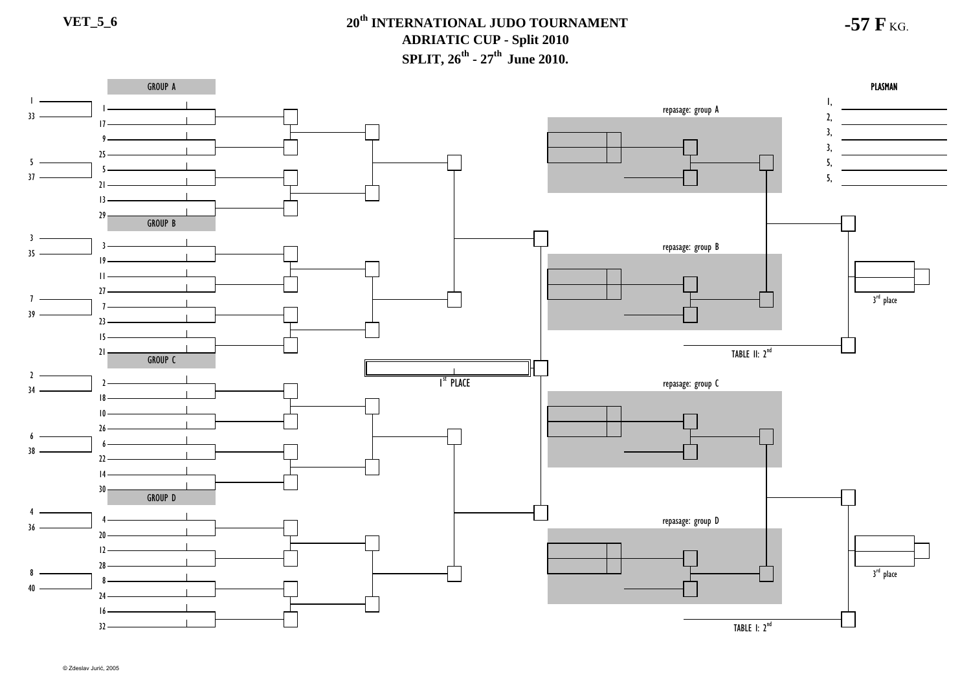**-57 F** KG.

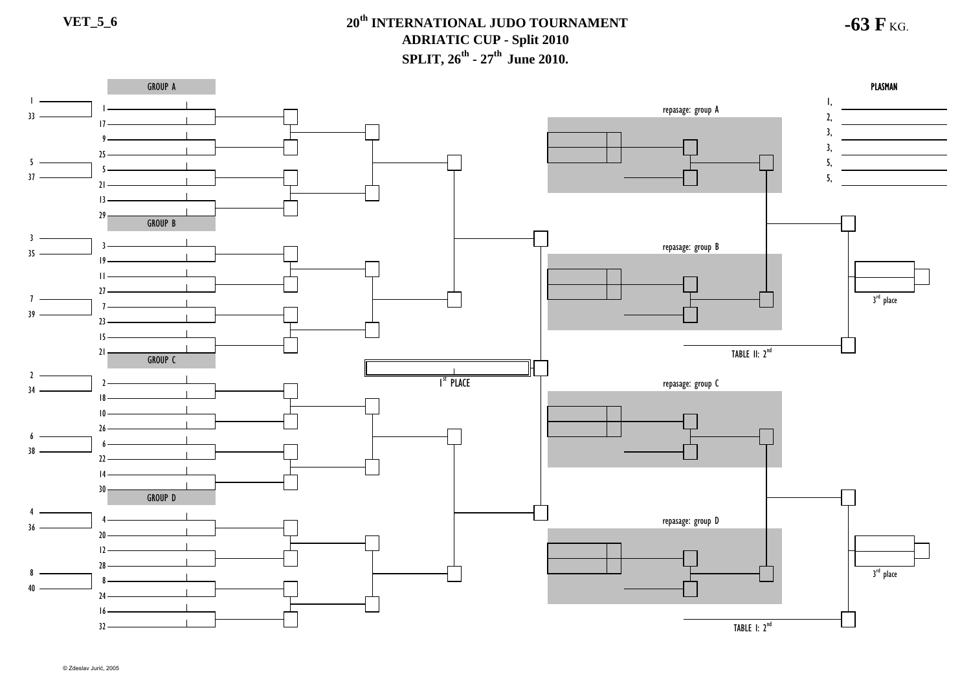**-63 F** KG.

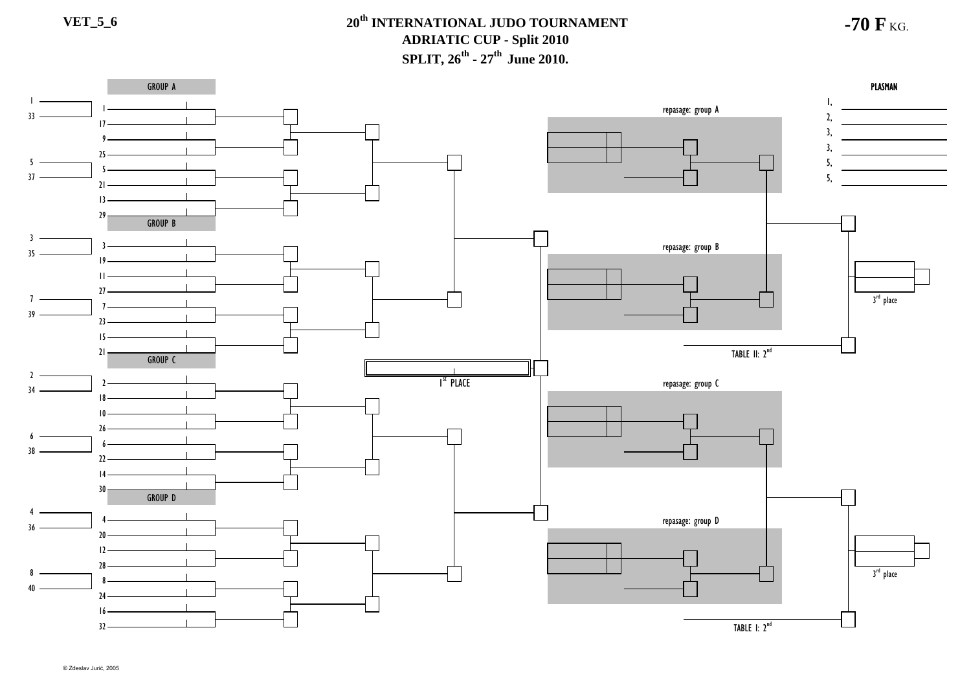**-70 F** KG.